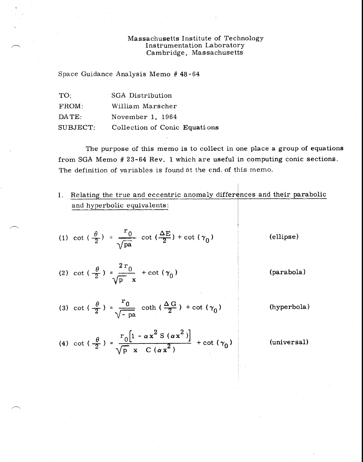## Massachusetts Institute of Technology Instrumentation Laboratory Cambridge, Massachusetts

Space Guidance Analysis Memo # 48-64

| TO:      | SGA Distribution              |
|----------|-------------------------------|
| FROM:    | William Marscher              |
| DATE:    | November 1, 1964              |
| SUBJECT: | Collection of Conic Equations |

The purpose of this memo is to collect in one place a group of equations from SGA Memo # 23-64 Rev, 1 which are useful in computing conic sections. The definition of variables is found at the end. of this memo.

I. Relating the true and eccentric anomaly differences and their parabolic and hyperbolic equivalents:

(1) 
$$
\cot \left(\frac{\theta}{2}\right) = \frac{r_0}{\sqrt{pa}} \cot \left(\frac{\Delta E}{2}\right) + \cot \left(\gamma_0\right)
$$

(ellipse)

- (2) cot ( $\frac{\theta}{2}$ ) =  $\frac{2r_0}{\theta}$  + cot ( $\gamma_0$ )  $\sqrt{p}$  x
- (3) cot ( $\frac{\theta}{2}$ ) =  $\frac{r_0}{\sqrt{2}}$  $\sqrt{-p}$ a coth ( $\frac{\Delta G}{2}$ ) + cot ( $\gamma_0$ )

(hyperbola)

(parabola)

(4) cot  $\left(\frac{\theta}{2}\right) = \frac{r_0\left[1 - \alpha x^2 S\left(\alpha x^2\right)\right]}{\sqrt{p} x C\left(\alpha x^2\right)} + \cot\left(\gamma_0\right)$ 

(universal)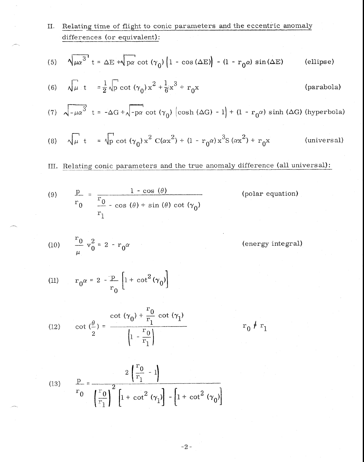cot  $(\gamma_0) + \frac{r_0}{r}$  cot  $(\gamma_1)$ (12) cot  $\left(\frac{\theta}{r}\right) = \frac{1}{r}$ 2  $\left(1 - \frac{0}{r_1}\right)$ 1  $r_0$   $\neq r_1$ II. Relating time of flight to conic parameters and the eccentric anomaly differences (or equivalent): (5)  $\sqrt{\mu\alpha^3} t = \Delta E + \sqrt{p\alpha} \cot (\gamma_0) \left(1 - \cos (\Delta E)\right) - (1 - r_0 \alpha) \sin (\Delta E)$  (ellipse) (6)  $\sqrt{\mu} t = \frac{1}{2} \sqrt{\rho} \cot (\gamma_0) x^2 + \frac{1}{6} x^3 + r_0 x$  (parabola) (7)  $\sqrt{-\mu\alpha^3}$  t =  $-\Delta G + \sqrt{-p\alpha} \cot (\gamma_0) (\cosh (\Delta G) - 1) + (1 - r_0\alpha) \sinh (\Delta G)$  (hyperbola) (8)  $\sqrt{\mu}$  t =  $\sqrt{p} \cot (\gamma_0) x^2 C(\alpha x^2) + (1 - r_0 \alpha) x^3 S(\alpha x^2)$ (universal) III. Relating conic parameters and the true anomaly difference (all universal): (9)  $\frac{p}{q}$  =  $\boldsymbol{0}$  $1 - \cos(\theta)$  (polar equation) 0 r 1  $\cos (\theta) + \sin (\theta) \cot (\gamma_0)$ (10)  $\frac{10}{10}$  v<sub>0</sub><sup>2</sup> = 2 - r<sub>0</sub> (energy integral) (11)  $r_0 \alpha = 2 - \frac{p}{n} \left| 1 + \cot^2(\gamma_0) \right|$ 0  $\int_0^{\infty}$   $\int_0^{\infty}$ 

(13) 
$$
\frac{p}{r_0} = \frac{2\left(\frac{r}{r_1} - 1\right)}{\left(\frac{r}{r_1}\right)^2 \left[1 + \cot^2(\gamma_1)\right] - \left[1 + \cot^2(\gamma_0)\right]}
$$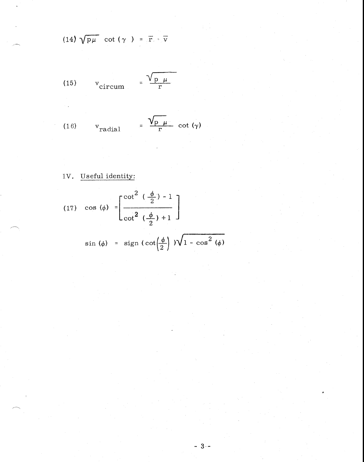$$
(14) \sqrt{p\mu} \cot (\gamma) = \bar{r} \cdot \bar{v}
$$

$$
(15) \t v_{\text{circum}} = \frac{\sqrt{p \mu}}{r}
$$

(16) 
$$
v_{\text{radial}} = \frac{\sqrt{p_\mu}}{r} \cot(\gamma)
$$

## IV. Useful identity:

(17) 
$$
\cos (\phi) = \left[ \frac{\cot^2 (\frac{\phi}{2}) - 1}{\cot^2 (\frac{\phi}{2}) + 1} \right]
$$
  
  
 $\sin (\phi) = \text{sign } (\cot(\frac{\phi}{2})) \sqrt{1 - \cos^2 (\phi)}$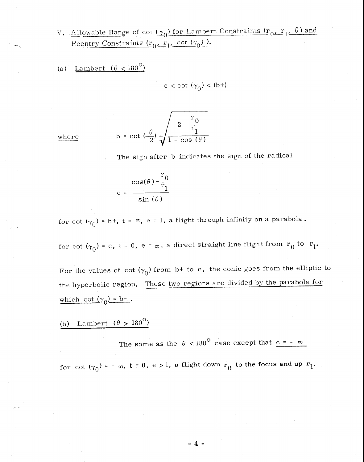V. Allowable Range of cot  $(\gamma_0)$  for Lambert Constraints  $(r_0, r_1, \theta)$  and Reentry Constraints  $(r_0, r_1, \cot(\gamma_0))$ .

(a) <u>Lambert  $(\theta < 180^{\circ})$ </u>

$$
c < \cot(\gamma_0) < (b^+)
$$

where

$$
b = \cot \left(\frac{\theta}{2}\right) \pm \sqrt{\frac{2 \frac{r_0}{r_1}}{1 - \cos(\theta)}}
$$

The sign after b indicates the sign of the radical

$$
c = \frac{\cos(\theta) - \frac{r_0}{r_1}}{\sin(\theta)}
$$

for cot  $(\gamma_0)$  = b+, t =  $\infty$ , e = 1, a flight through infinity on a parabola.

for cot  $(\gamma_0)$  = c, t = 0, e =  $\infty$ , a direct straight line flight from  $r_0$  to  $r_1$ .

For the values of cot  $(\gamma_0)$  from b+ to c, the conic goes from the elliptic to the hyperbolic region. These two regions are divided by the parabola for which cot  $(\gamma_0) = b$ .

(b) Lambert *(0* > 180° )

The same as the  $\theta$  < 180<sup>o</sup> case except that <u>c = -  $\infty$ </u>

for cot  $(\gamma_0)$  = -  $\infty$ , t = 0, e > 1, a flight down  $r_0$  to the focus and up  $r_1$ .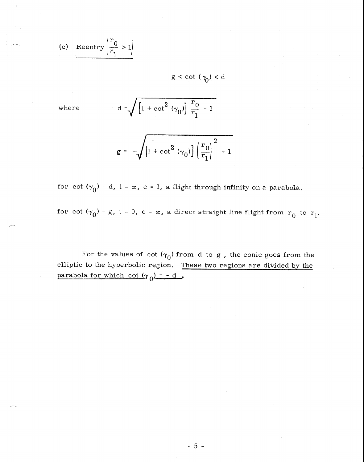(c) Reentry 
$$
\left(\frac{r_0}{r_1} > 1\right)
$$

 $g < \cot (\gamma_0) < d$ 

where  $d = \sqrt{1 + \cot^2(\theta)}$  $\overline{r}$  $+\cot^2(\gamma_0)\frac{r_0}{r_1}-1$  $\binom{1}{0}$   $\frac{1}{r_1}$  - 1

$$
g = -\sqrt{1 + \cot^2 (\gamma_0)} \left( \frac{r_0}{r_1} \right)^2 - 1
$$

for cot  $(\gamma_0)$  = d, t =  $\infty$ , e = 1, a flight through infinity on a parabola,

for cot  $(\gamma_0)$  = g, t = 0, e =  $\infty$ , a direct straight line flight from  $r_0$  to  $r_1$ .

For the values of cot  $(\gamma_0)$  from d to g, the conic goes from the elliptic to the hyperbolic region. These two regions are divided by the parabola for which cot  $(\gamma_0) = -d$ .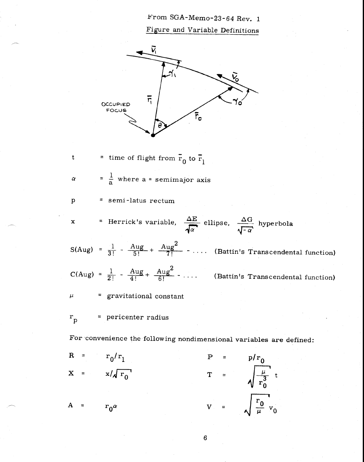From SGA-Memo-23-64 Rev. 1

Figure and Variable Definitions



6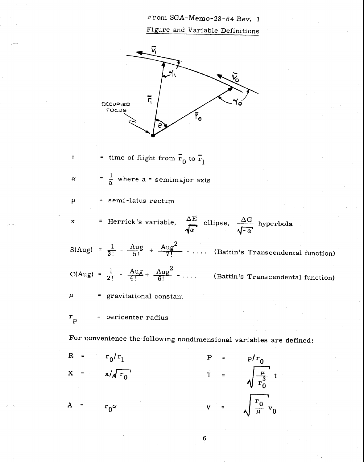From SGA-Memo-23-64 Rev. 1 Figure and Variable Definitions

![](_page_6_Figure_1.jpeg)

= time of flight from  $\overline{r}_0$  to  $\overline{r}_1$ 

 $\alpha$  $=\frac{1}{a}$  where a = semimajor axis

= semi-latus rectum

t

 $\mathbf{p}$ 

x = Herrick's variable,  $\frac{\Delta E}{\sqrt{E}}$  ellipse,  $\sqrt{-1}$  $\frac{\Delta G}{\sqrt{-\alpha}}$  hyperbola

 $S(Aug) = \frac{1}{3!} - \frac{Aug}{5!} + \frac{Aug^2}{7!} - \dots$  (Battin's Transcendental function)

 $C(Aug) = \frac{1}{2!} - \frac{Aug}{4!} + \frac{Aug^2}{6!} - \dots$  (Battin's Transcendental function)

= gravitational constant  $\mu$ 

 $r_p$  = pericenter radius

For convenience the following nondimensional variables are defined:

$$
R = r_0/r_1
$$
  
\n
$$
X = x/\sqrt{r_0}
$$
  
\n
$$
T = \sqrt{\frac{\mu}{r_0^3}} t
$$
  
\n
$$
V = \sqrt{\frac{r_0}{\mu}} v_0
$$

 $6\phantom{a}$